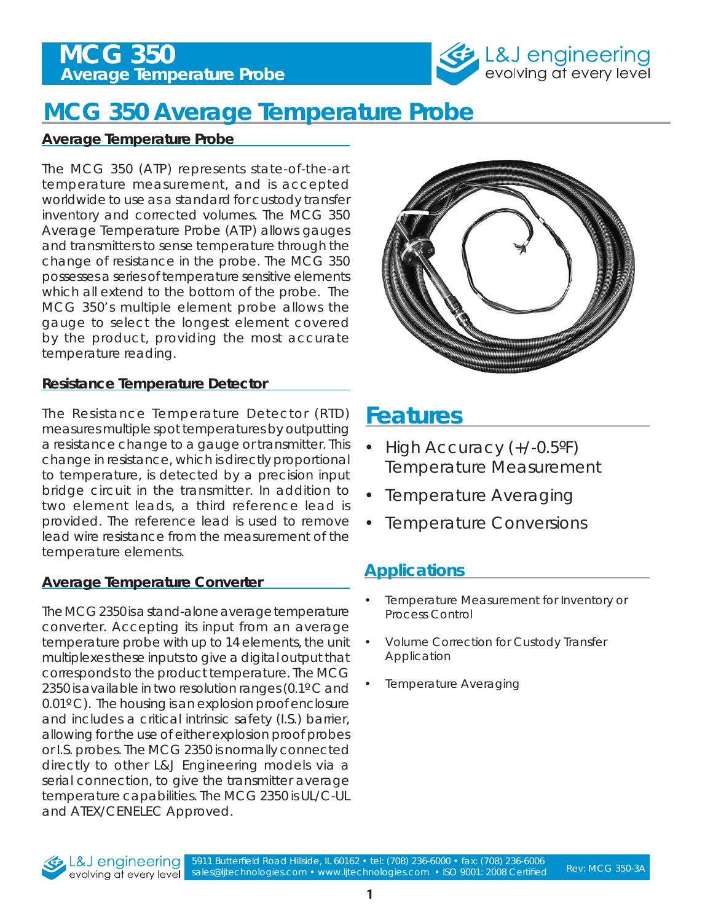## **Average Temperature Probe MCG 350**



# **MCG 350 Average Temperature Probe**

#### **Average Temperature Probe**

The MCG 350 (ATP) represents state-of-the-art temperature measurement, and is accepted worldwide to use as a standard for custody transfer inventory and corrected volumes. The MCG 350 Average Temperature Probe (ATP) allows gauges and transmitters to sense temperature through the change of resistance in the probe. The MCG 350 possesses a series of temperature sensitive elements which all extend to the bottom of the probe. The MCG 350's multiple element probe allows the gauge to select the longest element covered by the product, providing the most accurate temperature reading.

#### **Resistance Temperature Detector**

The Resistance Temperature Detector (RTD) measures multiple spot temperatures by outputting a resistance change to a gauge or transmitter. This change in resistance, which is directly proportional to temperature, is detected by a precision input bridge circuit in the transmitter. In addition to two element leads, a third reference lead is provided. The reference lead is used to remove lead wire resistance from the measurement of the temperature elements.

#### **Average Temperature Converter**

The MCG 2350 is a stand-alone average temperature converter. Accepting its input from an average temperature probe with up to 14 elements, the unit multiplexes these inputs to give a digital output that corresponds to the product temperature. The MCG 2350 is available in two resolution ranges (0.1° C and 0.01º C). The housing is an explosion proof enclosure and includes a critical intrinsic safety (I.S.) barrier, allowing for the use of either explosion proof probes or I.S. probes. The MCG 2350 is normally connected directly to other L&J Engineering models via a serial connection, to give the transmitter average temperature capabilities. The MCG 2350 is UL/C-UL and ATEX/CENELEC Approved.



## **Features**

- High Accuracy (+/-0.5°F) Temperature Measurement
- Temperature Averaging
- **Temperature Conversions**

### **Applications**

- Temperature Measurement for Inventory or Process Control
- Volume Correction for Custody Transfer Application
- **Temperature Averaging**



5911 Butterfield Road Hillside, IL 60162 • tel: (708) 236-6000 • fax: (708) 236-6006 sales@ljtechnologies.com • www.ljtechnologies.com • ISO 9001: 2008 Certified Rev: MCG 350-3A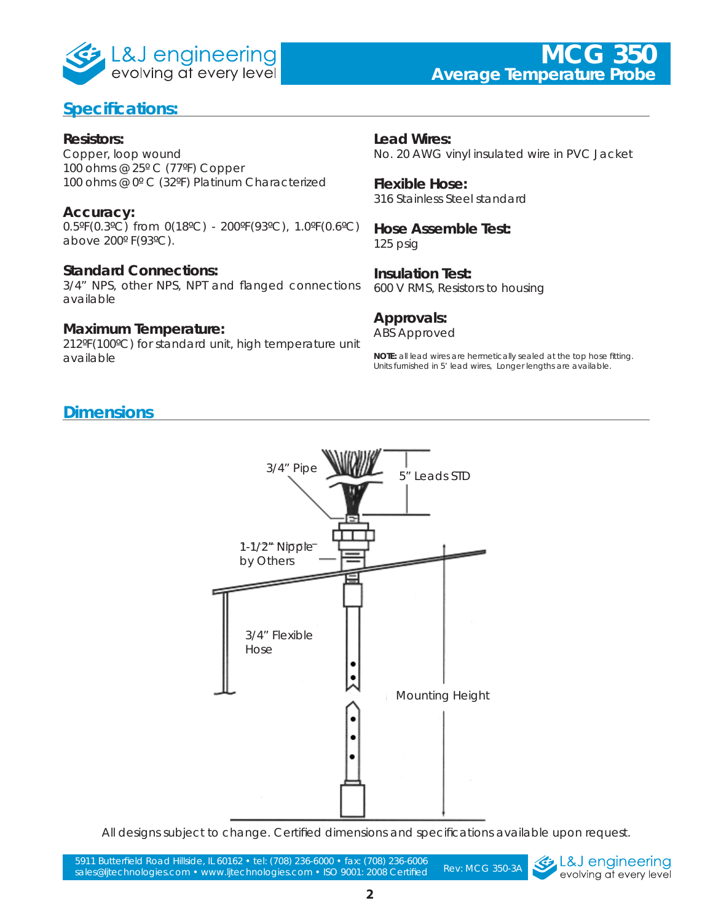

### **Specifications:**

#### **Resistors:**

Copper, loop wound 100 ohms @ 25º C (77ºF) Copper 100 ohms @ 0º C (32ºF) Platinum Characterized

#### **Accuracy:**

0.5ºF(0.3ºC) from 0(18ºC) - 200ºF(93ºC), 1.0ºF(0.6ºC) above 200º F(93ºC).

#### **Standard Connections:**

3/4" NPS, other NPS, NPT and flanged connections available

#### **Maximum Temperature:**

212ºF(100ºC) for standard unit, high temperature unit available

**Lead Wires:** No. 20 AWG vinyl insulated wire in PVC Jacket

**Flexible Hose:** 316 Stainless Steel standard

**Hose Assemble Test:** 125 psig

**Insulation Test:** 600 V RMS, Resistors to housing

#### **Approvals:**

ABS Approved

**NOTE:** all lead wires are hermetically sealed at the top hose fitting. Units furnished in 5' lead wires, Longer lengths are available.

#### **Dimensions**



All designs subject to change. Certified dimensions and specifications available upon request.

Rev: MCG 350-3A 5911 Butterfield Road Hillside, IL 60162 • tel: (708) 236-6000 • fax: (708) 236-6006 sales@ljtechnologies.com • www.ljtechnologies.com • ISO 9001: 2008 Certified